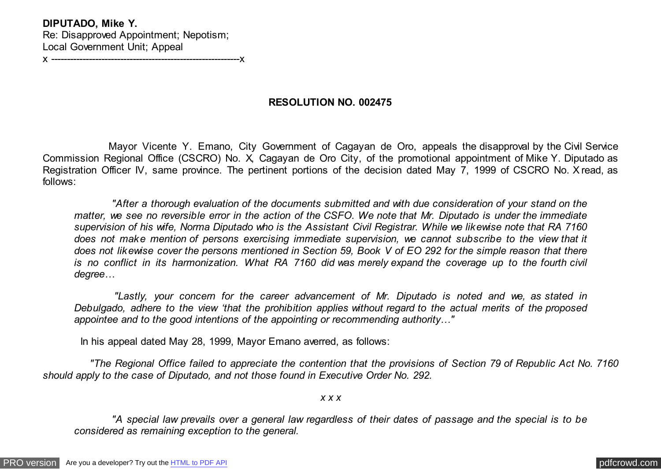**DIPUTADO, Mike Y.** Re: Disapproved Appointment; Nepotism; Local Government Unit; Appeal

x ------------------------------------------------------------x

## **RESOLUTION NO. 002475**

 Mayor Vicente Y. Emano, City Government of Cagayan de Oro, appeals the disapproval by the Civil Service Commission Regional Office (CSCRO) No. X, Cagayan de Oro City, of the promotional appointment of Mike Y. Diputado as Registration Officer IV, same province. The pertinent portions of the decision dated May 7, 1999 of CSCRO No. X read, as follows:

 *"After a thorough evaluation of the documents submitted and with due consideration of your stand on the matter, we see no reversible error in the action of the CSFO. We note that Mr. Diputado is under the immediate supervision of his wife, Norma Diputado who is the Assistant Civil Registrar. While we likewise note that RA 7160 does not make mention of persons exercising immediate supervision, we cannot subscribe to the view that it does not likewise cover the persons mentioned in Section 59, Book V of EO 292 for the simple reason that there is no conflict in its harmonization. What RA 7160 did was merely expand the coverage up to the fourth civil degree…*

 *"Lastly, your concern for the career advancement of Mr. Diputado is noted and we, as stated in Debulgado, adhere to the view 'that the prohibition applies without regard to the actual merits of the proposed appointee and to the good intentions of the appointing or recommending authority…"*

In his appeal dated May 28, 1999, Mayor Emano averred, as follows:

 *"The Regional Office failed to appreciate the contention that the provisions of Section 79 of Republic Act No. 7160 should apply to the case of Diputado, and not those found in Executive Order No. 292.*

*x x x*

 *"A special law prevails over a general law regardless of their dates of passage and the special is to be considered as remaining exception to the general.*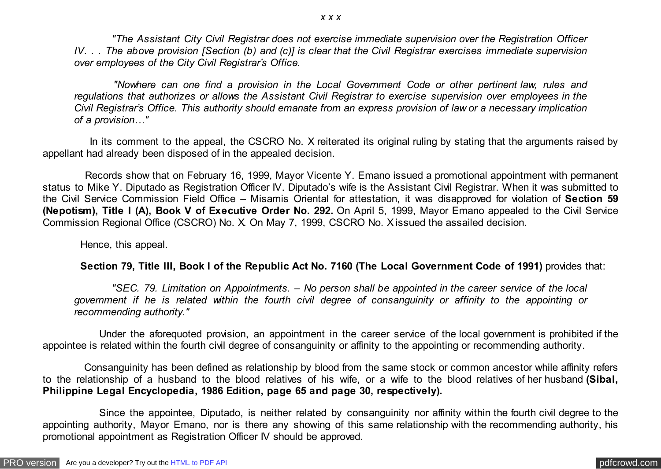*"The Assistant City Civil Registrar does not exercise immediate supervision over the Registration Officer IV. . . The above provision [Section (b) and (c)] is clear that the Civil Registrar exercises immediate supervision over employees of the City Civil Registrar's Office.*

 *"Nowhere can one find a provision in the Local Government Code or other pertinent law, rules and regulations that authorizes or allows the Assistant Civil Registrar to exercise supervision over employees in the Civil Registrar's Office. This authority should emanate from an express provision of law or a necessary implication of a provision…"*

In its comment to the appeal, the CSCRO No. X reiterated its original ruling by stating that the arguments raised by appellant had already been disposed of in the appealed decision.

 Records show that on February 16, 1999, Mayor Vicente Y. Emano issued a promotional appointment with permanent status to Mike Y. Diputado as Registration Officer IV. Diputado's wife is the Assistant Civil Registrar. When it was submitted to the Civil Service Commission Field Office – Misamis Oriental for attestation, it was disapproved for violation of **Section 59 (Nepotism), Title I (A), Book V of Executive Order No. 292.** On April 5, 1999, Mayor Emano appealed to the Civil Service Commission Regional Office (CSCRO) No. X. On May 7, 1999, CSCRO No. X issued the assailed decision.

Hence, this appeal.

## **Section 79, Title III, Book I of the Republic Act No. 7160 (The Local Government Code of 1991)** provides that:

 *"SEC. 79. Limitation on Appointments. – No person shall be appointed in the career service of the local government if he is related within the fourth civil degree of consanguinity or affinity to the appointing or recommending authority."*

 Under the aforequoted provision, an appointment in the career service of the local government is prohibited if the appointee is related within the fourth civil degree of consanguinity or affinity to the appointing or recommending authority.

 Consanguinity has been defined as relationship by blood from the same stock or common ancestor while affinity refers to the relationship of a husband to the blood relatives of his wife, or a wife to the blood relatives of her husband **(Sibal, Philippine Legal Encyclopedia, 1986 Edition, page 65 and page 30, respectively).**

 Since the appointee, Diputado, is neither related by consanguinity nor affinity within the fourth civil degree to the appointing authority, Mayor Emano, nor is there any showing of this same relationship with the recommending authority, his promotional appointment as Registration Officer IV should be approved.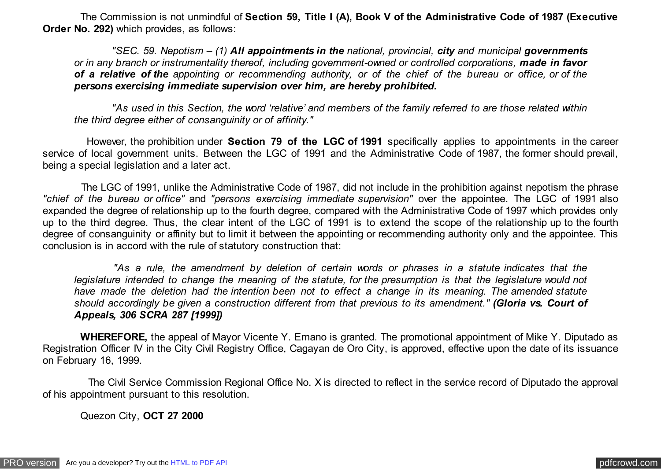The Commission is not unmindful of **Section 59, Title I (A), Book V of the Administrative Code of 1987 (Executive Order No. 292)** which provides, as follows:

 *"SEC. 59. Nepotism – (1) All appointments in the national, provincial, city and municipal governments or in any branch or instrumentality thereof, including government-owned or controlled corporations, made in favor of a relative of the appointing or recommending authority, or of the chief of the bureau or office, or of the persons exercising immediate supervision over him, are hereby prohibited.*

 *"As used in this Section, the word 'relative' and members of the family referred to are those related within the third degree either of consanguinity or of affinity."*

 However, the prohibition under **Section 79 of the LGC of 1991** specifically applies to appointments in the career service of local government units. Between the LGC of 1991 and the Administrative Code of 1987, the former should prevail, being a special legislation and a later act.

 The LGC of 1991, unlike the Administrative Code of 1987, did not include in the prohibition against nepotism the phrase *"chief of the bureau or office"* and *"persons exercising immediate supervision"* over the appointee. The LGC of 1991 also expanded the degree of relationship up to the fourth degree, compared with the Administrative Code of 1997 which provides only up to the third degree. Thus, the clear intent of the LGC of 1991 is to extend the scope of the relationship up to the fourth degree of consanguinity or affinity but to limit it between the appointing or recommending authority only and the appointee. This conclusion is in accord with the rule of statutory construction that:

 *"As a rule, the amendment by deletion of certain words or phrases in a statute indicates that the legislature intended to change the meaning of the statute, for the presumption is that the legislature would not have made the deletion had the intention been not to effect a change in its meaning. The amended statute should accordingly be given a construction different from that previous to its amendment." (Gloria vs. Court of Appeals, 306 SCRA 287 [1999])*

 **WHEREFORE,** the appeal of Mayor Vicente Y. Emano is granted. The promotional appointment of Mike Y. Diputado as Registration Officer IV in the City Civil Registry Office, Cagayan de Oro City, is approved, effective upon the date of its issuance on February 16, 1999.

 The Civil Service Commission Regional Office No. X is directed to reflect in the service record of Diputado the approval of his appointment pursuant to this resolution.

Quezon City, **OCT 27 2000**